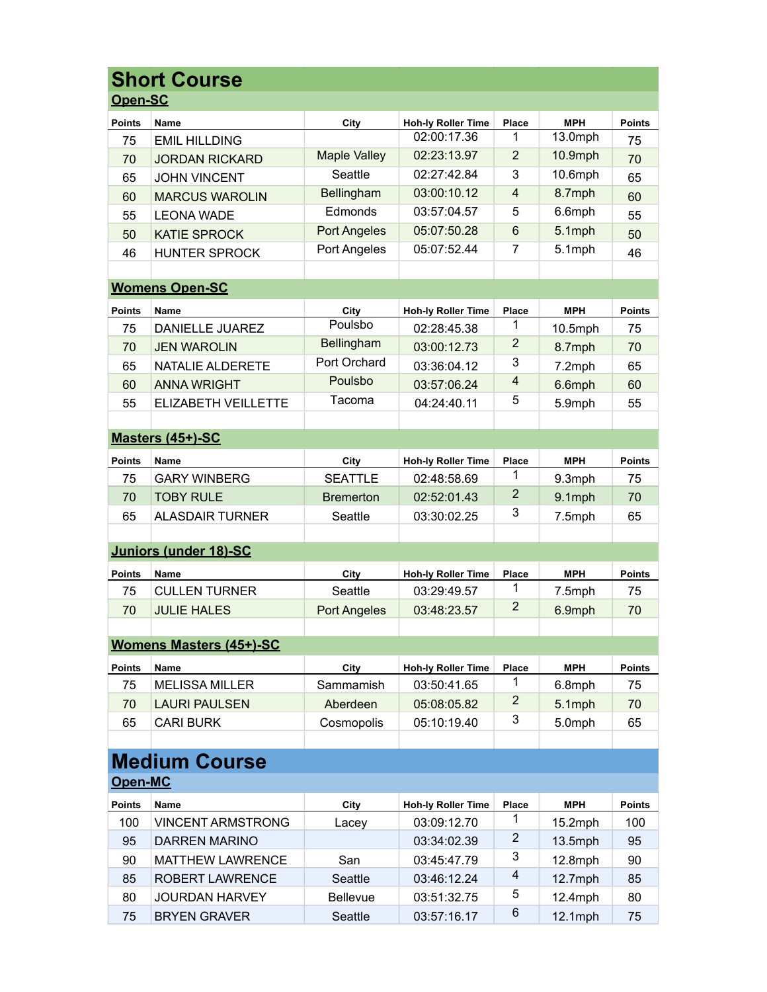| <b>Short Course</b> |                                |                     |                           |                |                       |               |  |  |
|---------------------|--------------------------------|---------------------|---------------------------|----------------|-----------------------|---------------|--|--|
| Open-SC             |                                |                     |                           |                |                       |               |  |  |
| <b>Points</b>       | <b>Name</b>                    | City                | <b>Hoh-ly Roller Time</b> | Place          | <b>MPH</b>            | <b>Points</b> |  |  |
| 75                  | <b>EMIL HILLDING</b>           |                     | 02:00:17.36               |                | $\overline{13.0}$ mph | 75            |  |  |
| 70                  | <b>JORDAN RICKARD</b>          | <b>Maple Valley</b> | 02:23:13.97               | 2              | 10.9mph               | 70            |  |  |
| 65                  | <b>JOHN VINCENT</b>            | Seattle             | 02:27:42.84               | 3              | 10.6mph               | 65            |  |  |
| 60                  | <b>MARCUS WAROLIN</b>          | Bellingham          | 03:00:10.12               | $\overline{4}$ | 8.7mph                | 60            |  |  |
| 55                  | <b>LEONA WADE</b>              | Edmonds             | 03:57:04.57               | 5              | 6.6mph                | 55            |  |  |
| 50                  | <b>KATIE SPROCK</b>            | <b>Port Angeles</b> | 05:07:50.28               | 6              | 5.1mph                | 50            |  |  |
| 46                  | <b>HUNTER SPROCK</b>           | Port Angeles        | 05:07:52.44               | $\overline{7}$ | 5.1mph                | 46            |  |  |
|                     |                                |                     |                           |                |                       |               |  |  |
|                     | <b>Womens Open-SC</b>          |                     |                           |                |                       |               |  |  |
| <b>Points</b>       | <b>Name</b>                    | City                | <b>Hoh-ly Roller Time</b> | Place          | <b>MPH</b>            | <b>Points</b> |  |  |
| 75                  | <b>DANIELLE JUAREZ</b>         | Poulsbo             | 02:28:45.38               |                | 10.5mph               | 75            |  |  |
| 70                  | <b>JEN WAROLIN</b>             | Bellingham          | 03:00:12.73               | 2              | 8.7mph                | 70            |  |  |
| 65                  | NATALIE ALDERETE               | Port Orchard        | 03:36:04.12               | 3              | 7.2mph                | 65            |  |  |
| 60                  | <b>ANNA WRIGHT</b>             | Poulsbo             | 03:57:06.24               | $\overline{4}$ | 6.6mph                | 60            |  |  |
| 55                  | ELIZABETH VEILLETTE            | Tacoma              | 04:24:40.11               | 5              | 5.9mph                | 55            |  |  |
|                     |                                |                     |                           |                |                       |               |  |  |
|                     | Masters (45+)-SC               |                     |                           |                |                       |               |  |  |
| <b>Points</b>       | <b>Name</b>                    | City                | <b>Hoh-ly Roller Time</b> | Place          | <b>MPH</b>            | <b>Points</b> |  |  |
| 75                  | <b>GARY WINBERG</b>            | <b>SEATTLE</b>      | 02:48:58.69               | 1              | 9.3mph                | 75            |  |  |
| 70                  | <b>TOBY RULE</b>               | <b>Bremerton</b>    | 02:52:01.43               | $\overline{2}$ | 9.1mph                | 70            |  |  |
| 65                  | <b>ALASDAIR TURNER</b>         | Seattle             | 03:30:02.25               | 3              | 7.5mph                | 65            |  |  |
|                     |                                |                     |                           |                |                       |               |  |  |
|                     | <b>Juniors (under 18)-SC</b>   |                     |                           |                |                       |               |  |  |
| <b>Points</b>       | Name                           | City                | <b>Hoh-ly Roller Time</b> | Place          | <b>MPH</b>            | <b>Points</b> |  |  |
| 75                  | <b>CULLEN TURNER</b>           | Seattle             | 03:29:49.57               | 1              | 7.5mph                | 75            |  |  |
| 70                  | <b>JULIE HALES</b>             | <b>Port Angeles</b> | 03:48:23.57               | $\overline{2}$ | 6.9mph                | 70            |  |  |
|                     |                                |                     |                           |                |                       |               |  |  |
|                     | <b>Womens Masters (45+)-SC</b> |                     |                           |                |                       |               |  |  |
| <b>Points</b>       | Name                           | City                | <b>Hoh-ly Roller Time</b> | Place          | <b>MPH</b>            | <b>Points</b> |  |  |
| 75                  | <b>MELISSA MILLER</b>          | Sammamish           | 03:50:41.65               | 1              | 6.8mph                | 75            |  |  |
| 70                  | <b>LAURI PAULSEN</b>           | Aberdeen            | 05:08:05.82               | $\overline{c}$ | 5.1mph                | 70            |  |  |
| 65                  | <b>CARI BURK</b>               | Cosmopolis          | 05:10:19.40               | 3              | 5.0mph                | 65            |  |  |
|                     |                                |                     |                           |                |                       |               |  |  |
|                     | <b>Medium Course</b>           |                     |                           |                |                       |               |  |  |
| Open-MC             |                                |                     |                           |                |                       |               |  |  |
| <b>Points</b>       | Name                           | City                | <b>Hoh-ly Roller Time</b> | Place          | <b>MPH</b>            | <b>Points</b> |  |  |
| 100                 | <b>VINCENT ARMSTRONG</b>       | Lacey               | 03:09:12.70               | 1              | $15.2$ mph            | 100           |  |  |
| 95                  | <b>DARREN MARINO</b>           |                     | 03:34:02.39               | 2              | $13.5$ mph            | 95            |  |  |
| 90                  | <b>MATTHEW LAWRENCE</b>        | San                 | 03:45:47.79               | 3              | 12.8mph               | 90            |  |  |
| 85                  | ROBERT LAWRENCE                | Seattle             | 03:46:12.24               | 4              | 12.7mph               | 85            |  |  |
| 80                  | <b>JOURDAN HARVEY</b>          | Bellevue            | 03:51:32.75               | 5              | 12.4mph               | 80            |  |  |
| 75                  | <b>BRYEN GRAVER</b>            | Seattle             | 03:57:16.17               | 6              | 12.1mph               | 75            |  |  |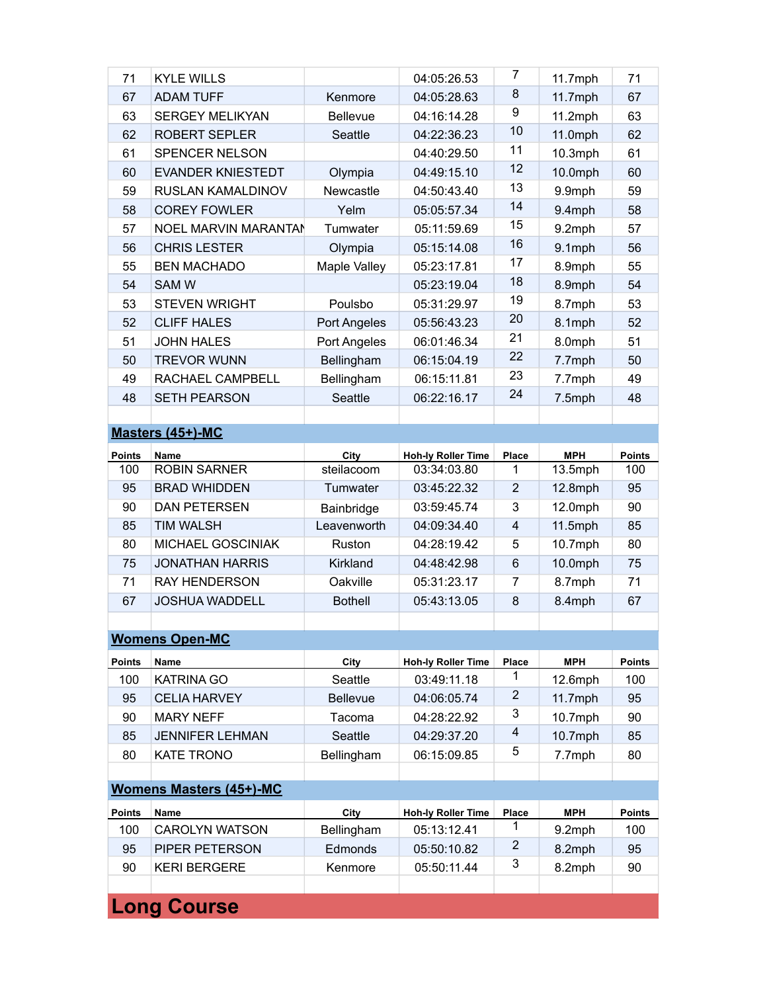| 71               | <b>KYLE WILLS</b>        |              | 04:05:26.53               | 7              | $11.7$ mph | 71            |  |  |
|------------------|--------------------------|--------------|---------------------------|----------------|------------|---------------|--|--|
| 67               | <b>ADAM TUFF</b>         | Kenmore      | 04:05:28.63               | 8              | $11.7$ mph | 67            |  |  |
| 63               | <b>SERGEY MELIKYAN</b>   | Bellevue     | 04:16:14.28               | 9              | $11.2$ mph | 63            |  |  |
| 62               | ROBERT SEPLER            | Seattle      | 04:22:36.23               | 10             | 11.0mph    | 62            |  |  |
| 61               | SPENCER NELSON           |              | 04:40:29.50               | 11             | 10.3mph    | 61            |  |  |
| 60               | <b>EVANDER KNIESTEDT</b> | Olympia      | 04:49:15.10               | 12             | 10.0mph    | 60            |  |  |
| 59               | RUSLAN KAMALDINOV        | Newcastle    | 04:50:43.40               | 13             | 9.9mph     | 59            |  |  |
| 58               | <b>COREY FOWLER</b>      | Yelm         | 05:05:57.34               | 14             | 9.4mph     | 58            |  |  |
| 57               | NOEL MARVIN MARANTAN     | Tumwater     | 05:11:59.69               | 15             | 9.2mph     | 57            |  |  |
| 56               | <b>CHRIS LESTER</b>      | Olympia      | 05:15:14.08               | 16             | 9.1mph     | 56            |  |  |
| 55               | <b>BEN MACHADO</b>       | Maple Valley | 05:23:17.81               | 17             | 8.9mph     | 55            |  |  |
| 54               | <b>SAM W</b>             |              | 05:23:19.04               | 18             | 8.9mph     | 54            |  |  |
| 53               | <b>STEVEN WRIGHT</b>     | Poulsbo      | 05:31:29.97               | 19             | 8.7mph     | 53            |  |  |
| 52               | <b>CLIFF HALES</b>       | Port Angeles | 05:56:43.23               | 20             | 8.1mph     | 52            |  |  |
| 51               | <b>JOHN HALES</b>        | Port Angeles | 06:01:46.34               | 21             | 8.0mph     | 51            |  |  |
| 50               | <b>TREVOR WUNN</b>       | Bellingham   | 06:15:04.19               | 22             | 7.7mph     | 50            |  |  |
| 49               | RACHAEL CAMPBELL         | Bellingham   | 06:15:11.81               | 23             | 7.7mph     | 49            |  |  |
| 48               | <b>SETH PEARSON</b>      | Seattle      | 06:22:16.17               | 24             | 7.5mph     | 48            |  |  |
|                  |                          |              |                           |                |            |               |  |  |
| Masters (45+)-MC |                          |              |                           |                |            |               |  |  |
| <b>Points</b>    | <b>Name</b>              | City         | <b>Hoh-ly Roller Time</b> | <b>Place</b>   | <b>MPH</b> | <b>Points</b> |  |  |
| 100              | <b>ROBIN SARNER</b>      | steilacoom   | 03:34:03.80               | 1              | 13.5mph    | 100           |  |  |
| 95               | <b>BRAD WHIDDEN</b>      | Tumwater     | 03:45:22.32               | $\overline{2}$ | 12.8mph    | 95            |  |  |

| 90 | <b>DAN PETERSEN</b>      | Bainbridge     | 03:59:45.74 | 3 | $12.0$ mph | 90 |
|----|--------------------------|----------------|-------------|---|------------|----|
| 85 | TIM WALSH                | Leavenworth    | 04:09:34.40 | 4 | $11.5$ mph | 85 |
| 80 | <b>MICHAEL GOSCINIAK</b> | Ruston         | 04:28:19.42 | 5 | $10.7$ mph | 80 |
| 75 | <b>JONATHAN HARRIS</b>   | Kirkland       | 04:48:42.98 | 6 | $10.0$ mph | 75 |
| 71 | <b>RAY HENDERSON</b>     | Oakville       | 05:31:23.17 |   | 8.7mph     | 71 |
| 67 | <b>JOSHUA WADDELL</b>    | <b>Bothell</b> | 05:43:13.05 | 8 | 8.4mph     | 67 |
|    |                          |                |             |   |            |    |

## **Womens Open-MC**

| <b>Points</b>                  | <b>Name</b>            | City            | <b>Hoh-Iv Roller Time</b> | Place | <b>MPH</b> | <b>Points</b> |  |
|--------------------------------|------------------------|-----------------|---------------------------|-------|------------|---------------|--|
| 100                            | <b>KATRINA GO</b>      | Seattle         | 03:49:11.18               |       | $12.6$ mph | 100           |  |
| 95                             | <b>CELIA HARVEY</b>    | <b>Bellevue</b> | 04:06:05.74               | 2     | $11.7$ mph | 95            |  |
| 90                             | <b>MARY NEFF</b>       | Tacoma          | 04:28:22.92               | 3     | $10.7$ mph | 90            |  |
| 85                             | <b>JENNIFER LEHMAN</b> | Seattle         | 04:29:37.20               | 4     | $10.7$ mph | 85            |  |
| 80                             | <b>KATE TRONO</b>      | Bellingham      | 06:15:09.85               | 5     | 7.7mph     | 80            |  |
|                                |                        |                 |                           |       |            |               |  |
| <b>Womens Masters (45+)-MC</b> |                        |                 |                           |       |            |               |  |
| <b>Points</b>                  | <b>Name</b>            | City            | <b>Hoh-Iv Roller Time</b> | Place | <b>MPH</b> | <b>Points</b> |  |
| 100                            | <b>CAROLYN WATSON</b>  | Bellingham      | 05:13:12.41               |       | $9.2$ mph  | 100           |  |
| 95                             | <b>PIPER PETERSON</b>  | Edmonds         | 05:50:10.82               | 2     | 8.2mph     | 95            |  |

90 KERI BERGERE Kenmore 05:50:11.44 3 8.2mph 90

**Long Course**